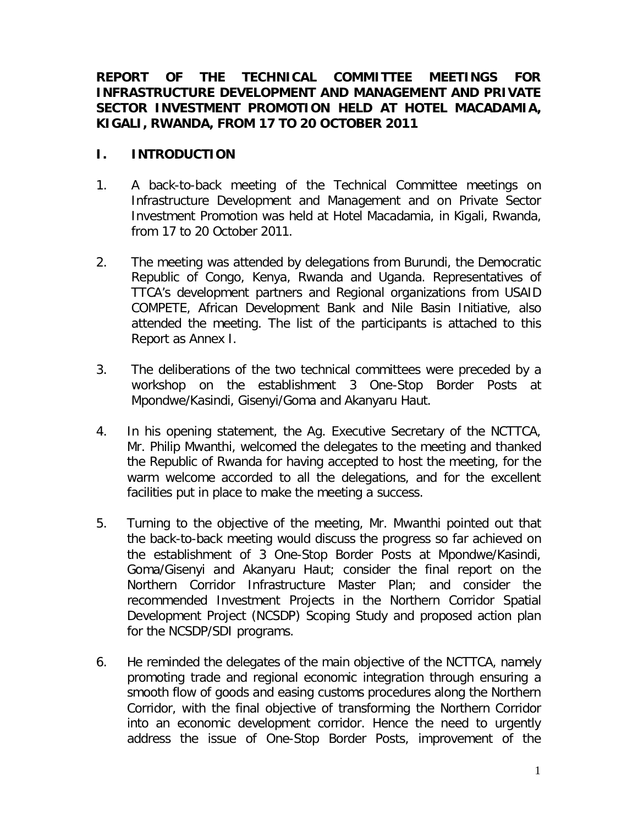# **REPORT OF THE TECHNICAL COMMITTEE MEETINGS FOR INFRASTRUCTURE DEVELOPMENT AND MANAGEMENT AND PRIVATE SECTOR INVESTMENT PROMOTION HELD AT HOTEL MACADAMIA, KIGALI, RWANDA, FROM 17 TO 20 OCTOBER 2011**

# **I. INTRODUCTION**

- 1. A back-to-back meeting of the Technical Committee meetings on Infrastructure Development and Management and on Private Sector Investment Promotion was held at Hotel Macadamia, in Kigali, Rwanda, from 17 to 20 October 2011.
- 2. The meeting was attended by delegations from Burundi, the Democratic Republic of Congo, Kenya, Rwanda and Uganda. Representatives of TTCA's development partners and Regional organizations from USAID COMPETE, African Development Bank and Nile Basin Initiative, also attended the meeting. The list of the participants is attached to this Report as Annex I.
- 3. The deliberations of the two technical committees were preceded by a workshop on the establishment 3 One-Stop Border Posts at Mpondwe/Kasindi, Gisenyi/Goma and Akanyaru Haut.
- 4. In his opening statement, the Ag. Executive Secretary of the NCTTCA, Mr. Philip Mwanthi, welcomed the delegates to the meeting and thanked the Republic of Rwanda for having accepted to host the meeting, for the warm welcome accorded to all the delegations, and for the excellent facilities put in place to make the meeting a success.
- 5. Turning to the objective of the meeting, Mr. Mwanthi pointed out that the back-to-back meeting would discuss the progress so far achieved on the establishment of 3 One-Stop Border Posts at Mpondwe/Kasindi, Goma/Gisenyi and Akanyaru Haut; consider the final report on the Northern Corridor Infrastructure Master Plan; and consider the recommended Investment Projects in the Northern Corridor Spatial Development Project (NCSDP) Scoping Study and proposed action plan for the NCSDP/SDI programs.
- 6. He reminded the delegates of the main objective of the NCTTCA, namely promoting trade and regional economic integration through ensuring a smooth flow of goods and easing customs procedures along the Northern Corridor, with the final objective of transforming the Northern Corridor into an economic development corridor. Hence the need to urgently address the issue of One-Stop Border Posts, improvement of the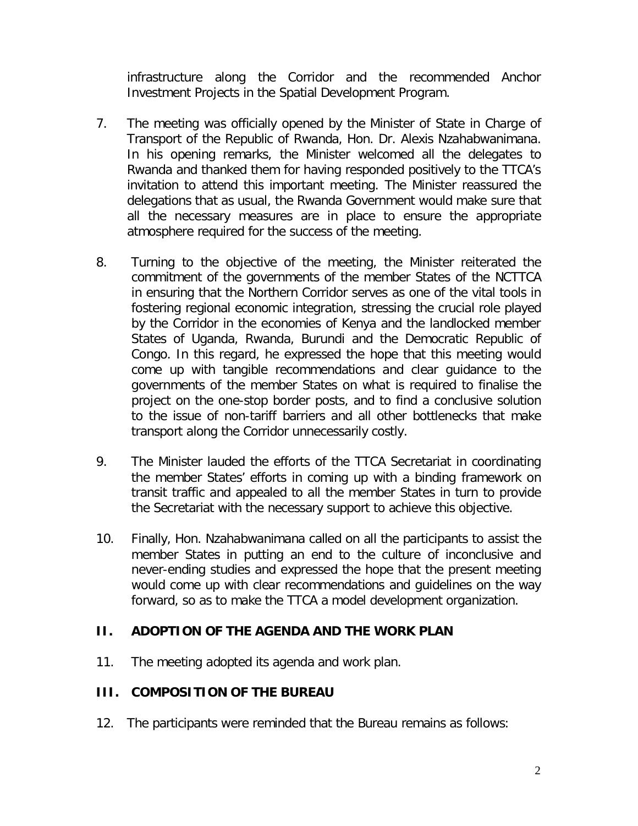infrastructure along the Corridor and the recommended Anchor Investment Projects in the Spatial Development Program.

- 7. The meeting was officially opened by the Minister of State in Charge of Transport of the Republic of Rwanda, Hon. Dr. Alexis Nzahabwanimana. In his opening remarks, the Minister welcomed all the delegates to Rwanda and thanked them for having responded positively to the TTCA's invitation to attend this important meeting. The Minister reassured the delegations that as usual, the Rwanda Government would make sure that all the necessary measures are in place to ensure the appropriate atmosphere required for the success of the meeting.
- 8. Turning to the objective of the meeting, the Minister reiterated the commitment of the governments of the member States of the NCTTCA in ensuring that the Northern Corridor serves as one of the vital tools in fostering regional economic integration, stressing the crucial role played by the Corridor in the economies of Kenya and the landlocked member States of Uganda, Rwanda, Burundi and the Democratic Republic of Congo. In this regard, he expressed the hope that this meeting would come up with tangible recommendations and clear guidance to the governments of the member States on what is required to finalise the project on the one-stop border posts, and to find a conclusive solution to the issue of non-tariff barriers and all other bottlenecks that make transport along the Corridor unnecessarily costly.
- 9. The Minister lauded the efforts of the TTCA Secretariat in coordinating the member States' efforts in coming up with a binding framework on transit traffic and appealed to all the member States in turn to provide the Secretariat with the necessary support to achieve this objective.
- 10. Finally, Hon. Nzahabwanimana called on all the participants to assist the member States in putting an end to the culture of inconclusive and never-ending studies and expressed the hope that the present meeting would come up with clear recommendations and guidelines on the way forward, so as to make the TTCA a model development organization.

# **II. ADOPTION OF THE AGENDA AND THE WORK PLAN**

11. The meeting adopted its agenda and work plan.

# **III. COMPOSITION OF THE BUREAU**

12. The participants were reminded that the Bureau remains as follows: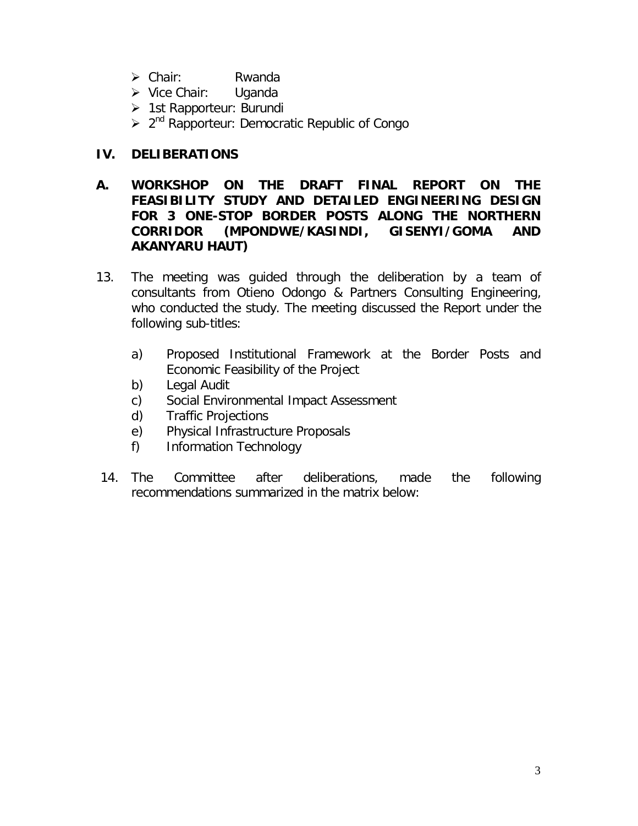- Chair: Rwanda
- Vice Chair: Uganda
- > 1st Rapporteur: Burundi
- > 2<sup>nd</sup> Rapporteur: Democratic Republic of Congo

# **IV. DELIBERATIONS**

- **A. WORKSHOP ON THE DRAFT FINAL REPORT ON THE FEASIBILITY STUDY AND DETAILED ENGINEERING DESIGN FOR 3 ONE-STOP BORDER POSTS ALONG THE NORTHERN CORRIDOR (MPONDWE/KASINDI, GISENYI/GOMA AND AKANYARU HAUT)**
- 13. The meeting was guided through the deliberation by a team of consultants from Otieno Odongo & Partners Consulting Engineering, who conducted the study. The meeting discussed the Report under the following sub-titles:
	- a) Proposed Institutional Framework at the Border Posts and Economic Feasibility of the Project
	- b) Legal Audit
	- c) Social Environmental Impact Assessment
	- d) Traffic Projections
	- e) Physical Infrastructure Proposals
	- f) Information Technology
- 14. The Committee after deliberations, made the following recommendations summarized in the matrix below: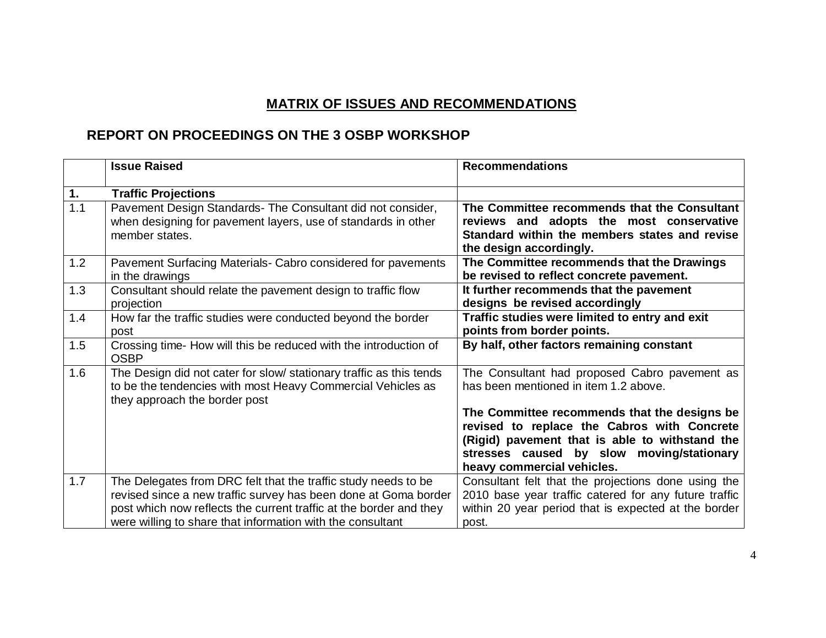# **MATRIX OF ISSUES AND RECOMMENDATIONS**

# **REPORT ON PROCEEDINGS ON THE 3 OSBP WORKSHOP**

|     | <b>Issue Raised</b>                                                                                                                                                                                                                                                   | <b>Recommendations</b>                                                                                                                                                                                                   |
|-----|-----------------------------------------------------------------------------------------------------------------------------------------------------------------------------------------------------------------------------------------------------------------------|--------------------------------------------------------------------------------------------------------------------------------------------------------------------------------------------------------------------------|
| 1.  | <b>Traffic Projections</b>                                                                                                                                                                                                                                            |                                                                                                                                                                                                                          |
| 1.1 | Pavement Design Standards- The Consultant did not consider,<br>when designing for pavement layers, use of standards in other<br>member states.                                                                                                                        | The Committee recommends that the Consultant<br>reviews and adopts the most conservative<br>Standard within the members states and revise<br>the design accordingly.                                                     |
| 1.2 | Pavement Surfacing Materials- Cabro considered for pavements<br>in the drawings                                                                                                                                                                                       | The Committee recommends that the Drawings<br>be revised to reflect concrete pavement.                                                                                                                                   |
| 1.3 | Consultant should relate the pavement design to traffic flow<br>projection                                                                                                                                                                                            | It further recommends that the pavement<br>designs be revised accordingly                                                                                                                                                |
| 1.4 | How far the traffic studies were conducted beyond the border<br>post                                                                                                                                                                                                  | Traffic studies were limited to entry and exit<br>points from border points.                                                                                                                                             |
| 1.5 | Crossing time- How will this be reduced with the introduction of<br><b>OSBP</b>                                                                                                                                                                                       | By half, other factors remaining constant                                                                                                                                                                                |
| 1.6 | The Design did not cater for slow/ stationary traffic as this tends<br>to be the tendencies with most Heavy Commercial Vehicles as<br>they approach the border post                                                                                                   | The Consultant had proposed Cabro pavement as<br>has been mentioned in item 1.2 above.                                                                                                                                   |
|     |                                                                                                                                                                                                                                                                       | The Committee recommends that the designs be<br>revised to replace the Cabros with Concrete<br>(Rigid) pavement that is able to withstand the<br>stresses caused by slow moving/stationary<br>heavy commercial vehicles. |
| 1.7 | The Delegates from DRC felt that the traffic study needs to be<br>revised since a new traffic survey has been done at Goma border<br>post which now reflects the current traffic at the border and they<br>were willing to share that information with the consultant | Consultant felt that the projections done using the<br>2010 base year traffic catered for any future traffic<br>within 20 year period that is expected at the border<br>post.                                            |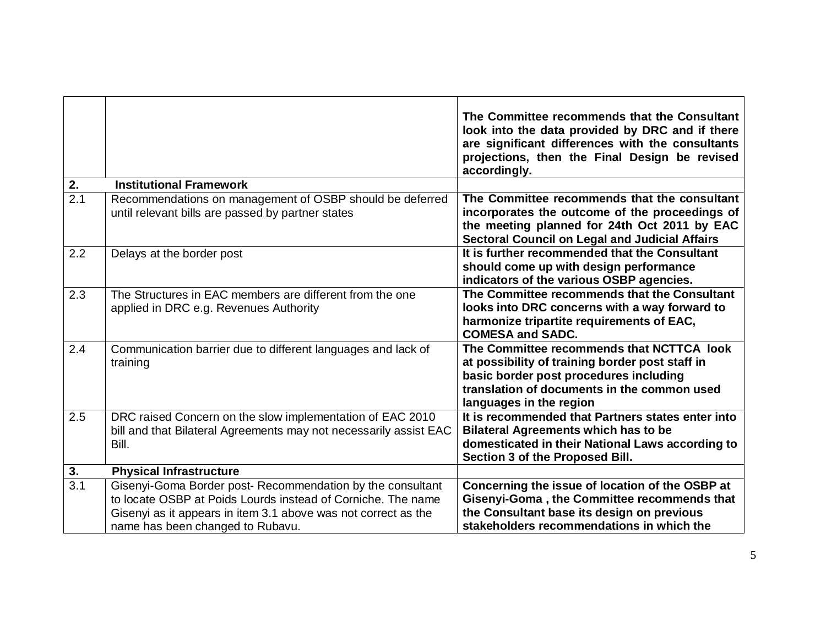|                  |                                                                                                                                                                                                                                  | The Committee recommends that the Consultant<br>look into the data provided by DRC and if there<br>are significant differences with the consultants<br>projections, then the Final Design be revised<br>accordingly. |
|------------------|----------------------------------------------------------------------------------------------------------------------------------------------------------------------------------------------------------------------------------|----------------------------------------------------------------------------------------------------------------------------------------------------------------------------------------------------------------------|
| 2.               | <b>Institutional Framework</b>                                                                                                                                                                                                   |                                                                                                                                                                                                                      |
| 2.1              | Recommendations on management of OSBP should be deferred<br>until relevant bills are passed by partner states                                                                                                                    | The Committee recommends that the consultant<br>incorporates the outcome of the proceedings of<br>the meeting planned for 24th Oct 2011 by EAC<br><b>Sectoral Council on Legal and Judicial Affairs</b>              |
| 2.2              | Delays at the border post                                                                                                                                                                                                        | It is further recommended that the Consultant<br>should come up with design performance<br>indicators of the various OSBP agencies.                                                                                  |
| 2.3              | The Structures in EAC members are different from the one<br>applied in DRC e.g. Revenues Authority                                                                                                                               | The Committee recommends that the Consultant<br>looks into DRC concerns with a way forward to<br>harmonize tripartite requirements of EAC,<br><b>COMESA and SADC.</b>                                                |
| 2.4              | Communication barrier due to different languages and lack of<br>training                                                                                                                                                         | The Committee recommends that NCTTCA look<br>at possibility of training border post staff in<br>basic border post procedures including<br>translation of documents in the common used<br>languages in the region     |
| 2.5              | DRC raised Concern on the slow implementation of EAC 2010<br>bill and that Bilateral Agreements may not necessarily assist EAC<br>Bill.                                                                                          | It is recommended that Partners states enter into<br><b>Bilateral Agreements which has to be</b><br>domesticated in their National Laws according to<br>Section 3 of the Proposed Bill.                              |
| 3.               | <b>Physical Infrastructure</b>                                                                                                                                                                                                   |                                                                                                                                                                                                                      |
| $\overline{3.1}$ | Gisenyi-Goma Border post- Recommendation by the consultant<br>to locate OSBP at Poids Lourds instead of Corniche. The name<br>Gisenyi as it appears in item 3.1 above was not correct as the<br>name has been changed to Rubavu. | Concerning the issue of location of the OSBP at<br>Gisenyi-Goma, the Committee recommends that<br>the Consultant base its design on previous<br>stakeholders recommendations in which the                            |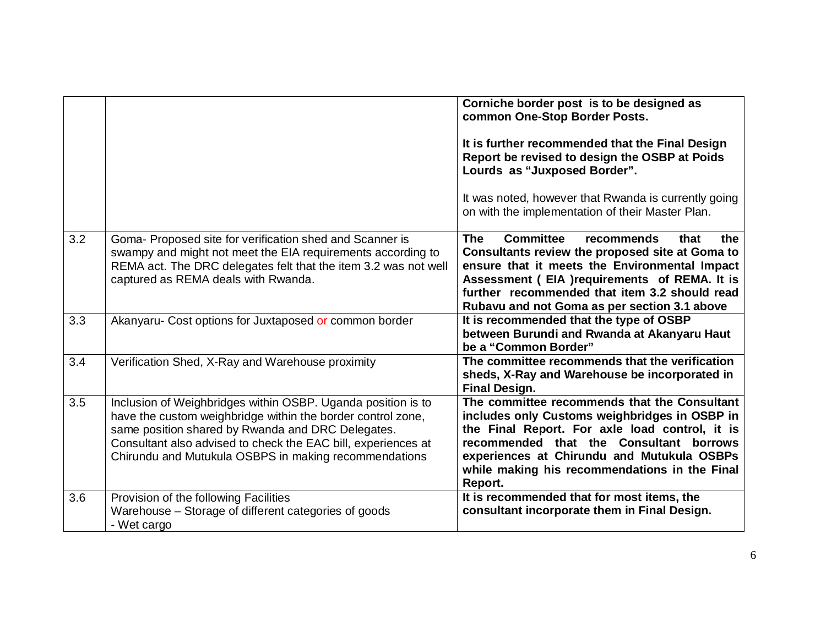|     |                                                                                                                                                                                                                                                                                                            | Corniche border post is to be designed as<br>common One-Stop Border Posts.<br>It is further recommended that the Final Design<br>Report be revised to design the OSBP at Poids<br>Lourds as "Juxposed Border".<br>It was noted, however that Rwanda is currently going<br>on with the implementation of their Master Plan. |
|-----|------------------------------------------------------------------------------------------------------------------------------------------------------------------------------------------------------------------------------------------------------------------------------------------------------------|----------------------------------------------------------------------------------------------------------------------------------------------------------------------------------------------------------------------------------------------------------------------------------------------------------------------------|
| 3.2 | Goma- Proposed site for verification shed and Scanner is<br>swampy and might not meet the EIA requirements according to<br>REMA act. The DRC delegates felt that the item 3.2 was not well<br>captured as REMA deals with Rwanda.                                                                          | <b>The</b><br><b>Committee</b><br>recommends<br>that<br>the<br>Consultants review the proposed site at Goma to<br>ensure that it meets the Environmental Impact<br>Assessment (EIA )requirements of REMA. It is<br>further recommended that item 3.2 should read<br>Rubavu and not Goma as per section 3.1 above           |
| 3.3 | Akanyaru- Cost options for Juxtaposed or common border                                                                                                                                                                                                                                                     | It is recommended that the type of OSBP<br>between Burundi and Rwanda at Akanyaru Haut<br>be a "Common Border"                                                                                                                                                                                                             |
| 3.4 | Verification Shed, X-Ray and Warehouse proximity                                                                                                                                                                                                                                                           | The committee recommends that the verification<br>sheds, X-Ray and Warehouse be incorporated in<br><b>Final Design.</b>                                                                                                                                                                                                    |
| 3.5 | Inclusion of Weighbridges within OSBP. Uganda position is to<br>have the custom weighbridge within the border control zone,<br>same position shared by Rwanda and DRC Delegates.<br>Consultant also advised to check the EAC bill, experiences at<br>Chirundu and Mutukula OSBPS in making recommendations | The committee recommends that the Consultant<br>includes only Customs weighbridges in OSBP in<br>the Final Report. For axle load control, it is<br>recommended that the Consultant borrows<br>experiences at Chirundu and Mutukula OSBPs<br>while making his recommendations in the Final<br>Report.                       |
| 3.6 | Provision of the following Facilities<br>Warehouse – Storage of different categories of goods<br>- Wet cargo                                                                                                                                                                                               | It is recommended that for most items, the<br>consultant incorporate them in Final Design.                                                                                                                                                                                                                                 |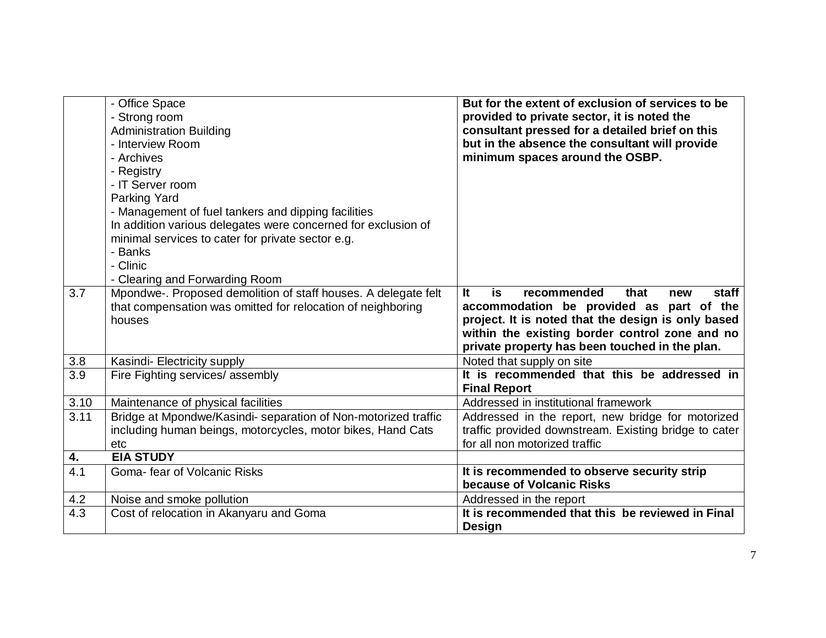|                  | - Office Space<br>- Strong room<br><b>Administration Building</b><br>- Interview Room<br>- Archives<br>- Registry<br>- IT Server room<br><b>Parking Yard</b><br>- Management of fuel tankers and dipping facilities<br>In addition various delegates were concerned for exclusion of<br>minimal services to cater for private sector e.g.<br>- Banks<br>- Clinic<br>- Clearing and Forwarding Room | But for the extent of exclusion of services to be<br>provided to private sector, it is noted the<br>consultant pressed for a detailed brief on this<br>but in the absence the consultant will provide<br>minimum spaces around the OSBP.              |
|------------------|----------------------------------------------------------------------------------------------------------------------------------------------------------------------------------------------------------------------------------------------------------------------------------------------------------------------------------------------------------------------------------------------------|-------------------------------------------------------------------------------------------------------------------------------------------------------------------------------------------------------------------------------------------------------|
| 3.7              | Mpondwe-. Proposed demolition of staff houses. A delegate felt<br>that compensation was omitted for relocation of neighboring<br>houses                                                                                                                                                                                                                                                            | It<br>is<br>recommended<br>that<br>staff<br>new<br>accommodation be provided as part of the<br>project. It is noted that the design is only based<br>within the existing border control zone and no<br>private property has been touched in the plan. |
| 3.8              | Kasindi- Electricity supply                                                                                                                                                                                                                                                                                                                                                                        | Noted that supply on site                                                                                                                                                                                                                             |
| $\overline{3.9}$ | Fire Fighting services/assembly                                                                                                                                                                                                                                                                                                                                                                    | It is recommended that this be addressed in<br><b>Final Report</b>                                                                                                                                                                                    |
| 3.10             | Maintenance of physical facilities                                                                                                                                                                                                                                                                                                                                                                 | Addressed in institutional framework                                                                                                                                                                                                                  |
| 3.11             | Bridge at Mpondwe/Kasindi- separation of Non-motorized traffic<br>including human beings, motorcycles, motor bikes, Hand Cats<br>etc                                                                                                                                                                                                                                                               | Addressed in the report, new bridge for motorized<br>traffic provided downstream. Existing bridge to cater<br>for all non motorized traffic                                                                                                           |
| 4.               | <b>EIA STUDY</b>                                                                                                                                                                                                                                                                                                                                                                                   |                                                                                                                                                                                                                                                       |
| 4.1              | Goma- fear of Volcanic Risks                                                                                                                                                                                                                                                                                                                                                                       | It is recommended to observe security strip<br>because of Volcanic Risks                                                                                                                                                                              |
| 4.2              | Noise and smoke pollution                                                                                                                                                                                                                                                                                                                                                                          | Addressed in the report                                                                                                                                                                                                                               |
| 4.3              | Cost of relocation in Akanyaru and Goma                                                                                                                                                                                                                                                                                                                                                            | It is recommended that this be reviewed in Final<br><b>Design</b>                                                                                                                                                                                     |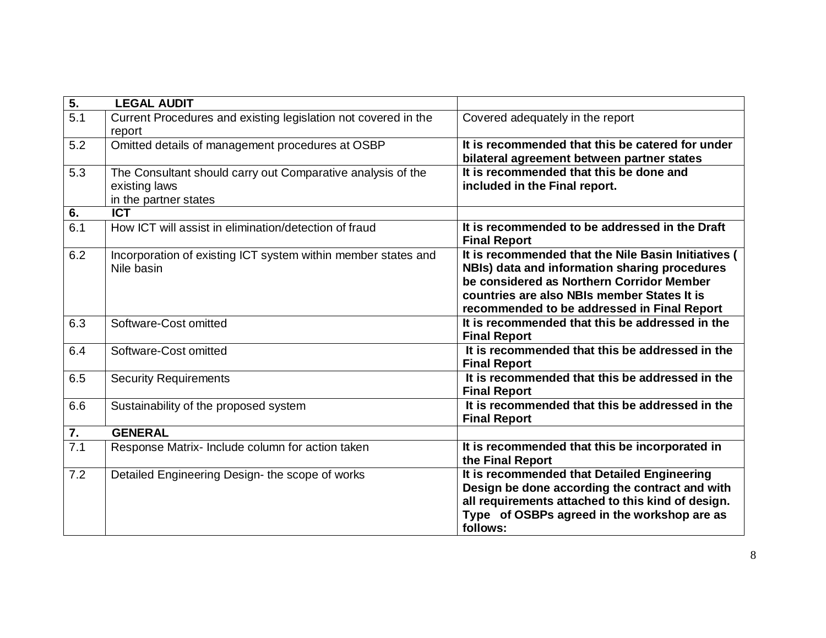| $\overline{5}$ . | <b>LEGAL AUDIT</b>                                                                                    |                                                                                                                                                                                                                                                 |
|------------------|-------------------------------------------------------------------------------------------------------|-------------------------------------------------------------------------------------------------------------------------------------------------------------------------------------------------------------------------------------------------|
| $\overline{5.1}$ | Current Procedures and existing legislation not covered in the<br>report                              | Covered adequately in the report                                                                                                                                                                                                                |
| 5.2              | Omitted details of management procedures at OSBP                                                      | It is recommended that this be catered for under<br>bilateral agreement between partner states                                                                                                                                                  |
| 5.3              | The Consultant should carry out Comparative analysis of the<br>existing laws<br>in the partner states | It is recommended that this be done and<br>included in the Final report.                                                                                                                                                                        |
| 6.               | <b>ICT</b>                                                                                            |                                                                                                                                                                                                                                                 |
| 6.1              | How ICT will assist in elimination/detection of fraud                                                 | It is recommended to be addressed in the Draft<br><b>Final Report</b>                                                                                                                                                                           |
| 6.2              | Incorporation of existing ICT system within member states and<br>Nile basin                           | It is recommended that the Nile Basin Initiatives (<br>NBIs) data and information sharing procedures<br>be considered as Northern Corridor Member<br>countries are also NBIs member States It is<br>recommended to be addressed in Final Report |
| 6.3              | Software-Cost omitted                                                                                 | It is recommended that this be addressed in the<br><b>Final Report</b>                                                                                                                                                                          |
| 6.4              | Software-Cost omitted                                                                                 | It is recommended that this be addressed in the<br><b>Final Report</b>                                                                                                                                                                          |
| 6.5              | <b>Security Requirements</b>                                                                          | It is recommended that this be addressed in the<br><b>Final Report</b>                                                                                                                                                                          |
| 6.6              | Sustainability of the proposed system                                                                 | It is recommended that this be addressed in the<br><b>Final Report</b>                                                                                                                                                                          |
| $\overline{7}$ . | <b>GENERAL</b>                                                                                        |                                                                                                                                                                                                                                                 |
| 7.1              | Response Matrix- Include column for action taken                                                      | It is recommended that this be incorporated in<br>the Final Report                                                                                                                                                                              |
| 7.2              | Detailed Engineering Design- the scope of works                                                       | It is recommended that Detailed Engineering<br>Design be done according the contract and with<br>all requirements attached to this kind of design.<br>Type of OSBPs agreed in the workshop are as<br>follows:                                   |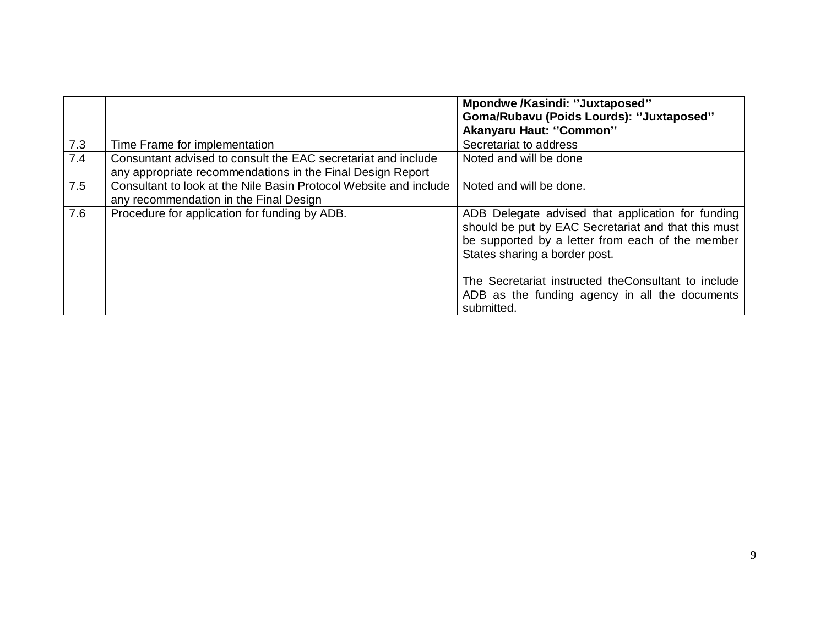|     |                                                                                                                             | Mpondwe /Kasindi: "Juxtaposed"<br>Goma/Rubavu (Poids Lourds): "Juxtaposed"<br><b>Akanyaru Haut: "Common"</b>                                                                                  |
|-----|-----------------------------------------------------------------------------------------------------------------------------|-----------------------------------------------------------------------------------------------------------------------------------------------------------------------------------------------|
| 7.3 | Time Frame for implementation                                                                                               | Secretariat to address                                                                                                                                                                        |
| 7.4 | Consuntant advised to consult the EAC secretariat and include<br>any appropriate recommendations in the Final Design Report | Noted and will be done                                                                                                                                                                        |
| 7.5 | Consultant to look at the Nile Basin Protocol Website and include<br>any recommendation in the Final Design                 | Noted and will be done.                                                                                                                                                                       |
| 7.6 | Procedure for application for funding by ADB.                                                                               | ADB Delegate advised that application for funding<br>should be put by EAC Secretariat and that this must<br>be supported by a letter from each of the member<br>States sharing a border post. |
|     |                                                                                                                             | The Secretariat instructed the Consultant to include<br>ADB as the funding agency in all the documents<br>submitted.                                                                          |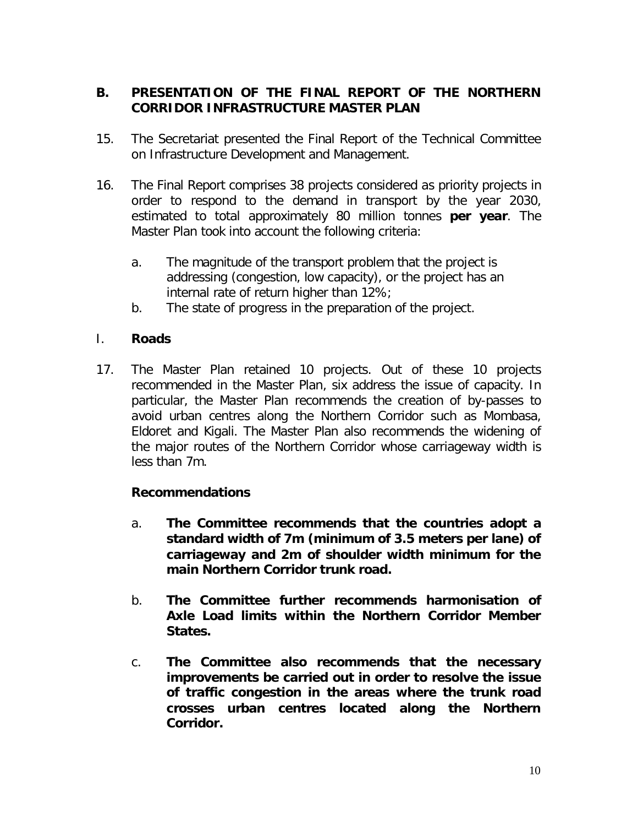# **B. PRESENTATION OF THE FINAL REPORT OF THE NORTHERN CORRIDOR INFRASTRUCTURE MASTER PLAN**

- 15. The Secretariat presented the Final Report of the Technical Committee on Infrastructure Development and Management.
- 16. The Final Report comprises 38 projects considered as priority projects in order to respond to the demand in transport by the year 2030, estimated to total approximately 80 million tonnes **per year**. The Master Plan took into account the following criteria:
	- a. The magnitude of the transport problem that the project is addressing (congestion, low capacity), or the project has an internal rate of return higher than 12%;
	- b. The state of progress in the preparation of the project.

# I. **Roads**

17. The Master Plan retained 10 projects. Out of these 10 projects recommended in the Master Plan, six address the issue of capacity. In particular, the Master Plan recommends the creation of by-passes to avoid urban centres along the Northern Corridor such as Mombasa, Eldoret and Kigali. The Master Plan also recommends the widening of the major routes of the Northern Corridor whose carriageway width is less than 7m.

# **Recommendations**

- *a. The Committee recommends that the countries adopt a standard width of 7m (minimum of 3.5 meters per lane) of carriageway and 2m of shoulder width minimum for the main Northern Corridor trunk road.*
- *b. The Committee further recommends harmonisation of Axle Load limits within the Northern Corridor Member States.*
- c. *The Committee also recommends that the necessary improvements be carried out in order to resolve the issue of traffic congestion in the areas where the trunk road crosses urban centres located along the Northern Corridor.*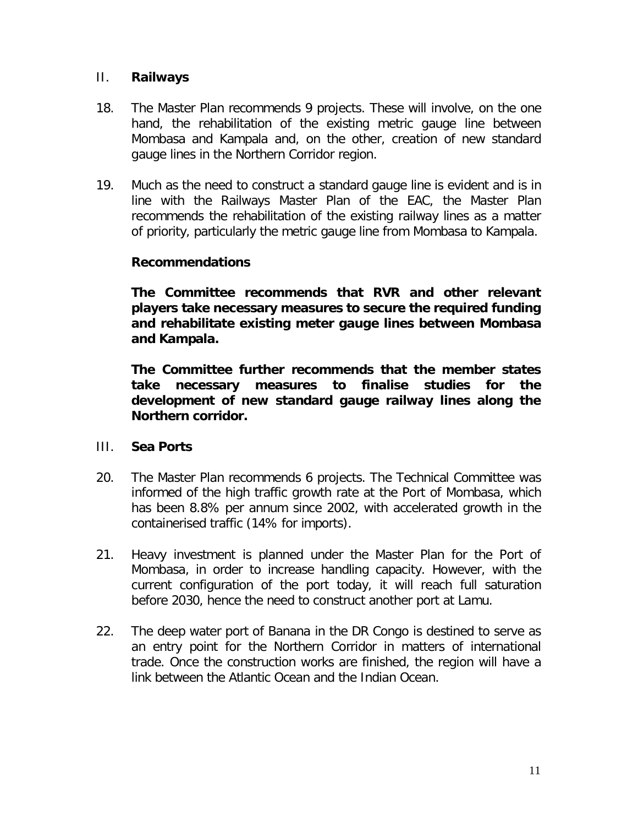# II. **Railways**

- 18. The Master Plan recommends 9 projects. These will involve, on the one hand, the rehabilitation of the existing metric gauge line between Mombasa and Kampala and, on the other, creation of new standard gauge lines in the Northern Corridor region.
- 19. Much as the need to construct a standard gauge line is evident and is in line with the Railways Master Plan of the EAC, the Master Plan recommends the rehabilitation of the existing railway lines as a matter of priority, particularly the metric gauge line from Mombasa to Kampala.

### **Recommendations**

*The Committee recommends that RVR and other relevant players take necessary measures to secure the required funding and rehabilitate existing meter gauge lines between Mombasa and Kampala.*

*The Committee further recommends that the member states take necessary measures to finalise studies for the development of new standard gauge railway lines along the Northern corridor.*

#### III. **Sea Ports**

- 20. The Master Plan recommends 6 projects. The Technical Committee was informed of the high traffic growth rate at the Port of Mombasa, which has been 8.8% per annum since 2002, with accelerated growth in the containerised traffic (14% for imports).
- 21. Heavy investment is planned under the Master Plan for the Port of Mombasa, in order to increase handling capacity. However, with the current configuration of the port today, it will reach full saturation before 2030, hence the need to construct another port at Lamu.
- 22. The deep water port of Banana in the DR Congo is destined to serve as an entry point for the Northern Corridor in matters of international trade. Once the construction works are finished, the region will have a link between the Atlantic Ocean and the Indian Ocean.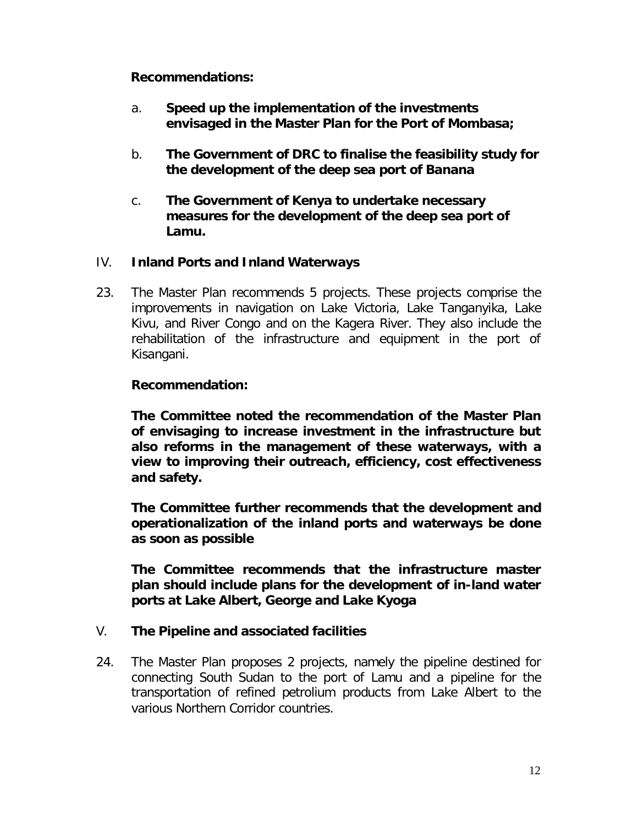# **Recommendations:**

- a. *Speed up the implementation of the investments envisaged in the Master Plan for the Port of Mombasa;*
- b. *The Government of DRC to finalise the feasibility study for the development of the deep sea port of Banana*
- c. *The Government of Kenya to undertake necessary measures for the development of the deep sea port of Lamu.*

### IV. **Inland Ports and Inland Waterways**

23. The Master Plan recommends 5 projects. These projects comprise the improvements in navigation on Lake Victoria, Lake Tanganyika, Lake Kivu, and River Congo and on the Kagera River. They also include the rehabilitation of the infrastructure and equipment in the port of Kisangani.

### **Recommendation:**

*The Committee noted the recommendation of the Master Plan of envisaging to increase investment in the infrastructure but also reforms in the management of these waterways, with a view to improving their outreach, efficiency, cost effectiveness and safety.*

*The Committee further recommends that the development and operationalization of the inland ports and waterways be done as soon as possible*

*The Committee recommends that the infrastructure master plan should include plans for the development of in-land water ports at Lake Albert, George and Lake Kyoga*

#### V. **The Pipeline and associated facilities**

24. The Master Plan proposes 2 projects, namely the pipeline destined for connecting South Sudan to the port of Lamu and a pipeline for the transportation of refined petrolium products from Lake Albert to the various Northern Corridor countries.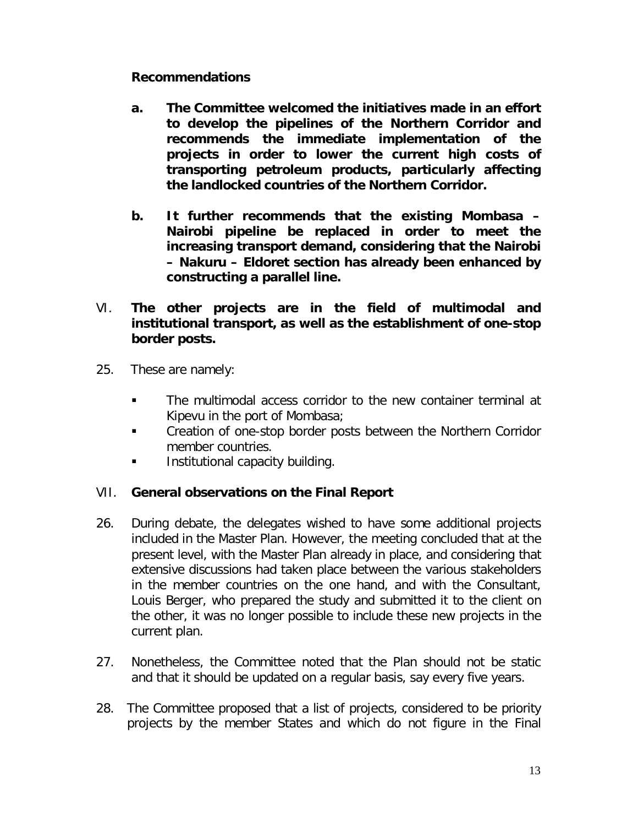# *Recommendations*

- *a. The Committee welcomed the initiatives made in an effort to develop the pipelines of the Northern Corridor and recommends the immediate implementation of the projects in order to lower the current high costs of transporting petroleum products, particularly affecting the landlocked countries of the Northern Corridor.*
- *b. It further recommends that the existing Mombasa – Nairobi pipeline be replaced in order to meet the increasing transport demand, considering that the Nairobi – Nakuru – Eldoret section has already been enhanced by constructing a parallel line.*
- VI. **The other projects are in the field of multimodal and institutional transport, as well as the establishment of one-stop border posts.**
- 25. These are namely:
	- The multimodal access corridor to the new container terminal at Kipevu in the port of Mombasa;
	- **EXECT** Creation of one-stop border posts between the Northern Corridor member countries.
	- **Institutional capacity building.**

# VII. **General observations on the Final Report**

- 26. During debate, the delegates wished to have some additional projects included in the Master Plan. However, the meeting concluded that at the present level, with the Master Plan already in place, and considering that extensive discussions had taken place between the various stakeholders in the member countries on the one hand, and with the Consultant, Louis Berger, who prepared the study and submitted it to the client on the other, it was no longer possible to include these new projects in the current plan.
- 27. Nonetheless, the Committee noted that the Plan should not be static and that it should be updated on a regular basis, say every five years.
- 28. The Committee proposed that a list of projects, considered to be priority projects by the member States and which do not figure in the Final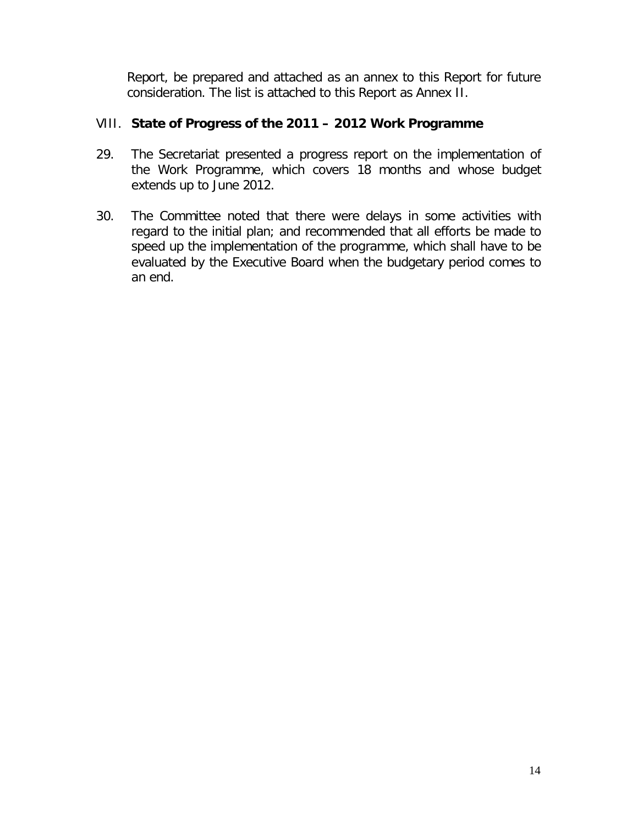Report, be prepared and attached as an annex to this Report for future consideration. The list is attached to this Report as Annex II.

# VIII. **State of Progress of the 2011 – 2012 Work Programme**

- 29. The Secretariat presented a progress report on the implementation of the Work Programme, which covers 18 months and whose budget extends up to June 2012.
- 30. The Committee noted that there were delays in some activities with regard to the initial plan; and recommended that all efforts be made to speed up the implementation of the programme, which shall have to be evaluated by the Executive Board when the budgetary period comes to an end.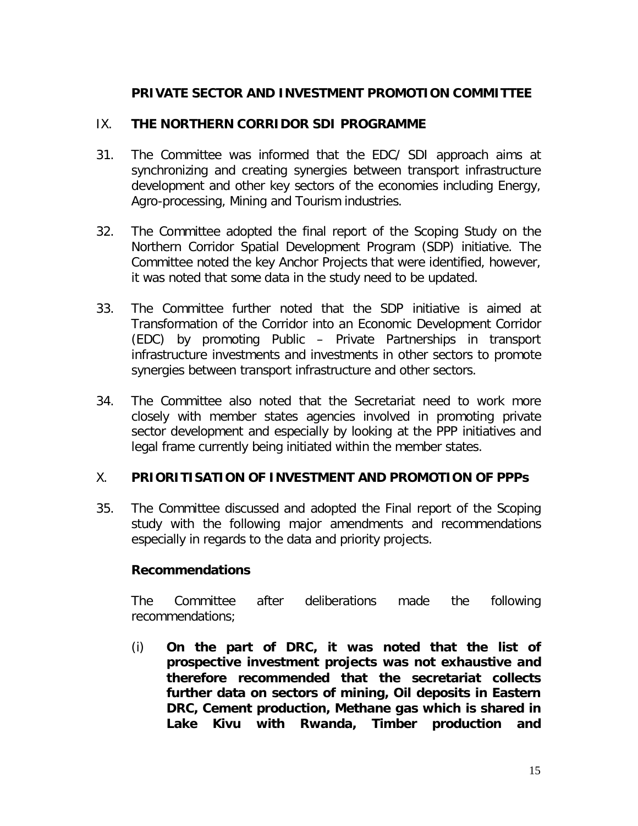# **PRIVATE SECTOR AND INVESTMENT PROMOTION COMMITTEE**

## IX. **THE NORTHERN CORRIDOR SDI PROGRAMME**

- 31. The Committee was informed that the EDC/ SDI approach aims at synchronizing and creating synergies between transport infrastructure development and other key sectors of the economies including Energy, Agro-processing, Mining and Tourism industries.
- 32. The Committee adopted the final report of the Scoping Study on the Northern Corridor Spatial Development Program (SDP) initiative. The Committee noted the key Anchor Projects that were identified, however, it was noted that some data in the study need to be updated.
- 33. The Committee further noted that the SDP initiative is aimed at Transformation of the Corridor into an Economic Development Corridor (EDC) by promoting Public – Private Partnerships in transport infrastructure investments and investments in other sectors to promote synergies between transport infrastructure and other sectors.
- 34. The Committee also noted that the Secretariat need to work more closely with member states agencies involved in promoting private sector development and especially by looking at the PPP initiatives and legal frame currently being initiated within the member states.

#### X. **PRIORITISATION OF INVESTMENT AND PROMOTION OF PPPs**

35. The Committee discussed and adopted the Final report of the Scoping study with the following major amendments and recommendations especially in regards to the data and priority projects.

#### **Recommendations**

The Committee after deliberations made the following recommendations;

(i) *On the part of DRC, it was noted that the list of prospective investment projects was not exhaustive and therefore recommended that the secretariat collects further data on sectors of mining, Oil deposits in Eastern DRC, Cement production, Methane gas which is shared in Lake Kivu with Rwanda, Timber production and*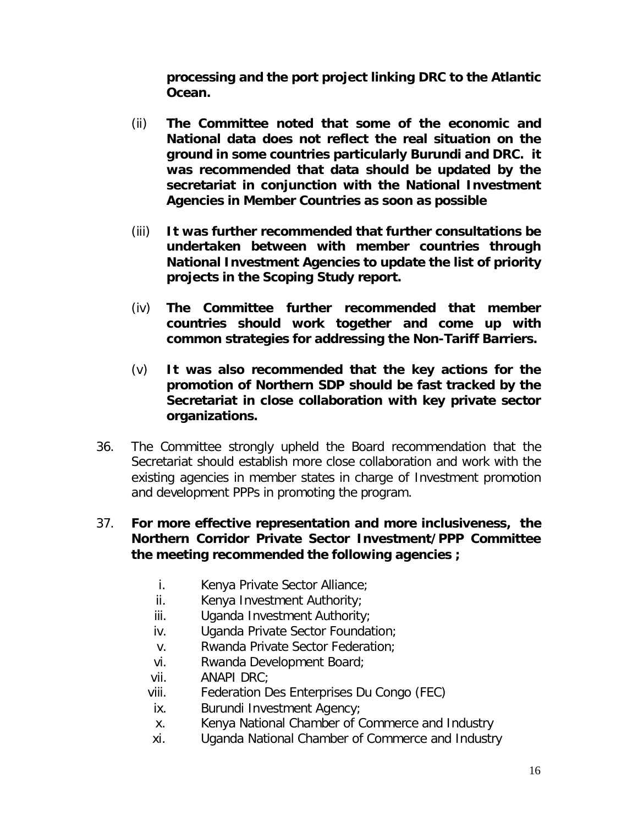*processing and the port project linking DRC to the Atlantic Ocean.*

- (ii) *The Committee noted that some of the economic and National data does not reflect the real situation on the ground in some countries particularly Burundi and DRC. it was recommended that data should be updated by the secretariat in conjunction with the National Investment Agencies in Member Countries as soon as possible*
- (iii) *It was further recommended that further consultations be undertaken between with member countries through National Investment Agencies to update the list of priority projects in the Scoping Study report.*
- (iv) *The Committee further recommended that member countries should work together and come up with common strategies for addressing the Non-Tariff Barriers.*
- (v) *It was also recommended that the key actions for the promotion of Northern SDP should be fast tracked by the Secretariat in close collaboration with key private sector organizations.*
- 36. The Committee strongly upheld the Board recommendation that the Secretariat should establish more close collaboration and work with the existing agencies in member states in charge of Investment promotion and development PPPs in promoting the program.

# 37. **For more effective representation and more inclusiveness, the Northern Corridor Private Sector Investment/PPP Committee the meeting recommended the following agencies ;**

- i. Kenya Private Sector Alliance;
- ii. Kenya Investment Authority;
- iii. Uganda Investment Authority;
- iv. Uganda Private Sector Foundation;
- v. Rwanda Private Sector Federation;
- vi. Rwanda Development Board;
- vii. ANAPI DRC;
- viii. Federation Des Enterprises Du Congo (FEC)
- ix. Burundi Investment Agency;
- x. Kenya National Chamber of Commerce and Industry
- xi. Uganda National Chamber of Commerce and Industry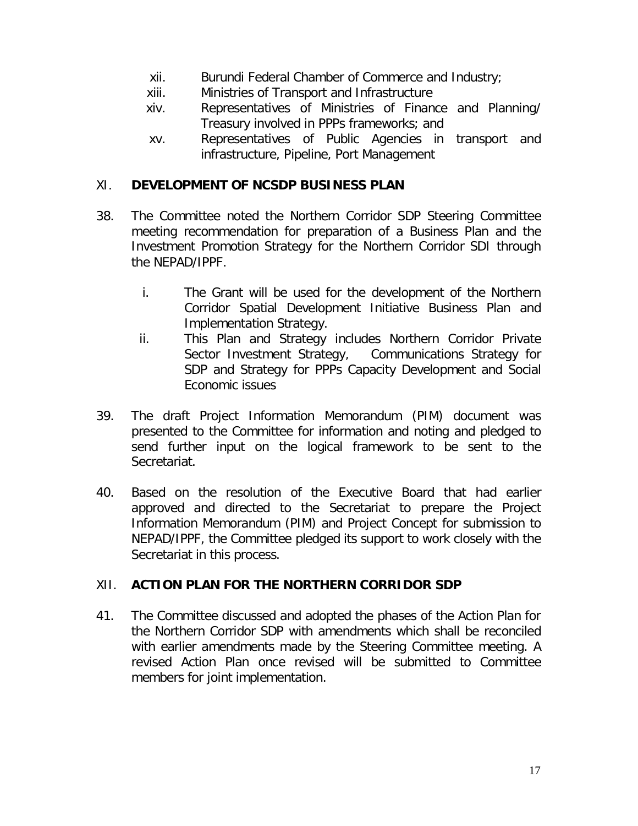- xii. Burundi Federal Chamber of Commerce and Industry;
- xiii. Ministries of Transport and Infrastructure
- xiv. Representatives of Ministries of Finance and Planning/ Treasury involved in PPPs frameworks; and
- xv. Representatives of Public Agencies in transport and infrastructure, Pipeline, Port Management

## XI. **DEVELOPMENT OF NCSDP BUSINESS PLAN**

- 38. The Committee noted the Northern Corridor SDP Steering Committee meeting recommendation for preparation of a Business Plan and the Investment Promotion Strategy for the Northern Corridor SDI through the NEPAD/IPPF.
	- i. The Grant will be used for the development of the Northern Corridor Spatial Development Initiative Business Plan and Implementation Strategy.
	- ii. This Plan and Strategy includes Northern Corridor Private Sector Investment Strategy, Communications Strategy for SDP and Strategy for PPPs Capacity Development and Social Economic issues
- 39. The draft Project Information Memorandum (PIM) document was presented to the Committee for information and noting and pledged to send further input on the logical framework to be sent to the Secretariat.
- 40. Based on the resolution of the Executive Board that had earlier approved and directed to the Secretariat to prepare the Project Information Memorandum (PIM) and Project Concept for submission to NEPAD/IPPF, the Committee pledged its support to work closely with the Secretariat in this process.

# XII. **ACTION PLAN FOR THE NORTHERN CORRIDOR SDP**

41. The Committee discussed and adopted the phases of the Action Plan for the Northern Corridor SDP with amendments which shall be reconciled with earlier amendments made by the Steering Committee meeting. A revised Action Plan once revised will be submitted to Committee members for joint implementation.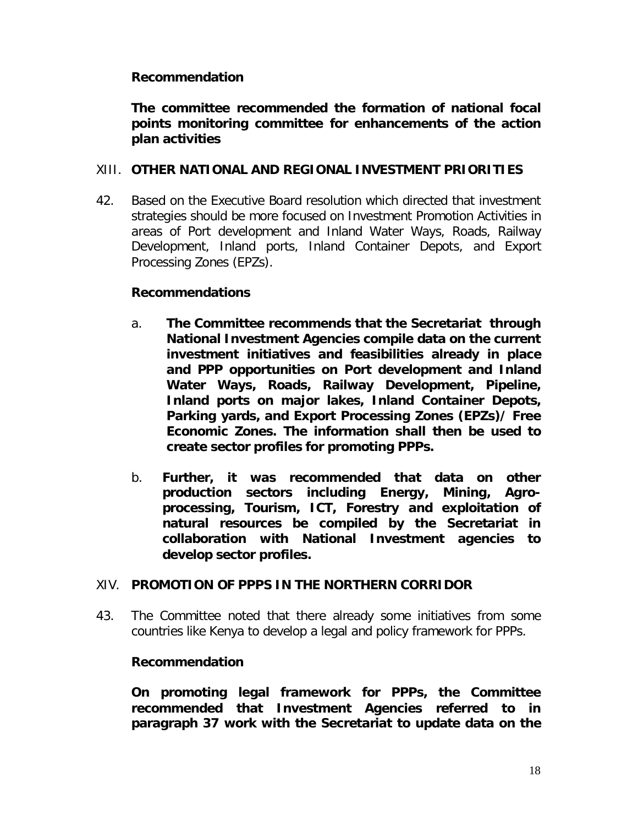# **Recommendation**

# *The committee recommended the formation of national focal points monitoring committee for enhancements of the action plan activities*

#### XIII. **OTHER NATIONAL AND REGIONAL INVESTMENT PRIORITIES**

42. Based on the Executive Board resolution which directed that investment strategies should be more focused on Investment Promotion Activities in areas of Port development and Inland Water Ways, Roads, Railway Development, Inland ports, Inland Container Depots, and Export Processing Zones (EPZs).

#### **Recommendations**

- a. *The Committee recommends that the Secretariat through National Investment Agencies compile data on the current investment initiatives and feasibilities already in place and PPP opportunities on Port development and Inland Water Ways, Roads, Railway Development, Pipeline, Inland ports on major lakes, Inland Container Depots, Parking yards, and Export Processing Zones (EPZs)/ Free Economic Zones. The information shall then be used to create sector profiles for promoting PPPs.*
- b. *Further, it was recommended that data on other production sectors including Energy, Mining, Agroprocessing, Tourism, ICT, Forestry and exploitation of natural resources be compiled by the Secretariat in collaboration with National Investment agencies to develop sector profiles.*

# XIV. **PROMOTION OF PPPS IN THE NORTHERN CORRIDOR**

43. The Committee noted that there already some initiatives from some countries like Kenya to develop a legal and policy framework for PPPs.

# **Recommendation**

*On promoting legal framework for PPPs, the Committee recommended that Investment Agencies referred to in paragraph 37 work with the Secretariat to update data on the*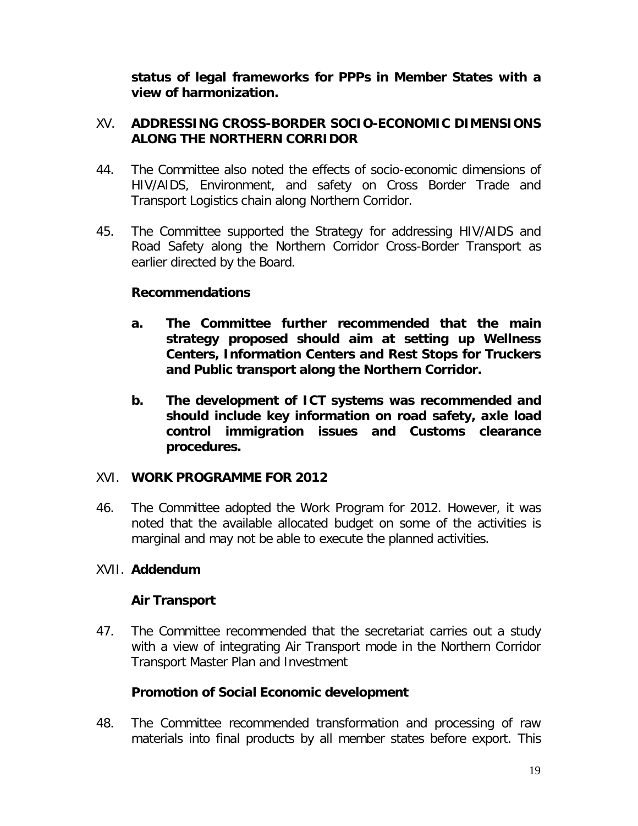*status of legal frameworks for PPPs in Member States with a view of harmonization.* 

# XV. **ADDRESSING CROSS-BORDER SOCIO-ECONOMIC DIMENSIONS ALONG THE NORTHERN CORRIDOR**

- 44. The Committee also noted the effects of socio-economic dimensions of HIV/AIDS, Environment, and safety on Cross Border Trade and Transport Logistics chain along Northern Corridor.
- 45. The Committee supported the Strategy for addressing HIV/AIDS and Road Safety along the Northern Corridor Cross-Border Transport as earlier directed by the Board.

# **Recommendations**

- *a. The Committee further recommended that the main strategy proposed should aim at setting up Wellness Centers, Information Centers and Rest Stops for Truckers and Public transport along the Northern Corridor.*
- *b. The development of ICT systems was recommended and should include key information on road safety, axle load control immigration issues and Customs clearance procedures.*

#### XVI. **WORK PROGRAMME FOR 2012**

46. The Committee adopted the Work Program for 2012. However, it was noted that the available allocated budget on some of the activities is marginal and may not be able to execute the planned activities.

# XVII. **Addendum**

# **Air Transport**

47. The Committee recommended that the secretariat carries out a study with a view of integrating Air Transport mode in the Northern Corridor Transport Master Plan and Investment

# **Promotion of Social Economic development**

48. The Committee recommended transformation and processing of raw materials into final products by all member states before export. This